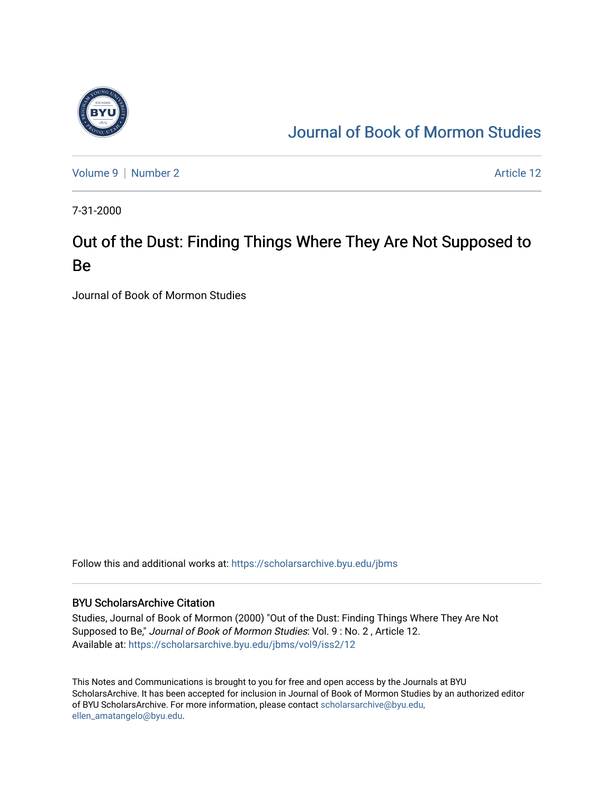

# [Journal of Book of Mormon Studies](https://scholarsarchive.byu.edu/jbms)

[Volume 9](https://scholarsarchive.byu.edu/jbms/vol9) | [Number 2](https://scholarsarchive.byu.edu/jbms/vol9/iss2) Article 12

7-31-2000

# Out of the Dust: Finding Things Where They Are Not Supposed to Be

Journal of Book of Mormon Studies

Follow this and additional works at: [https://scholarsarchive.byu.edu/jbms](https://scholarsarchive.byu.edu/jbms?utm_source=scholarsarchive.byu.edu%2Fjbms%2Fvol9%2Fiss2%2F12&utm_medium=PDF&utm_campaign=PDFCoverPages) 

### BYU ScholarsArchive Citation

Studies, Journal of Book of Mormon (2000) "Out of the Dust: Finding Things Where They Are Not Supposed to Be," Journal of Book of Mormon Studies: Vol. 9 : No. 2 , Article 12. Available at: [https://scholarsarchive.byu.edu/jbms/vol9/iss2/12](https://scholarsarchive.byu.edu/jbms/vol9/iss2/12?utm_source=scholarsarchive.byu.edu%2Fjbms%2Fvol9%2Fiss2%2F12&utm_medium=PDF&utm_campaign=PDFCoverPages) 

This Notes and Communications is brought to you for free and open access by the Journals at BYU ScholarsArchive. It has been accepted for inclusion in Journal of Book of Mormon Studies by an authorized editor of BYU ScholarsArchive. For more information, please contact [scholarsarchive@byu.edu,](mailto:scholarsarchive@byu.edu,%20ellen_amatangelo@byu.edu) [ellen\\_amatangelo@byu.edu](mailto:scholarsarchive@byu.edu,%20ellen_amatangelo@byu.edu).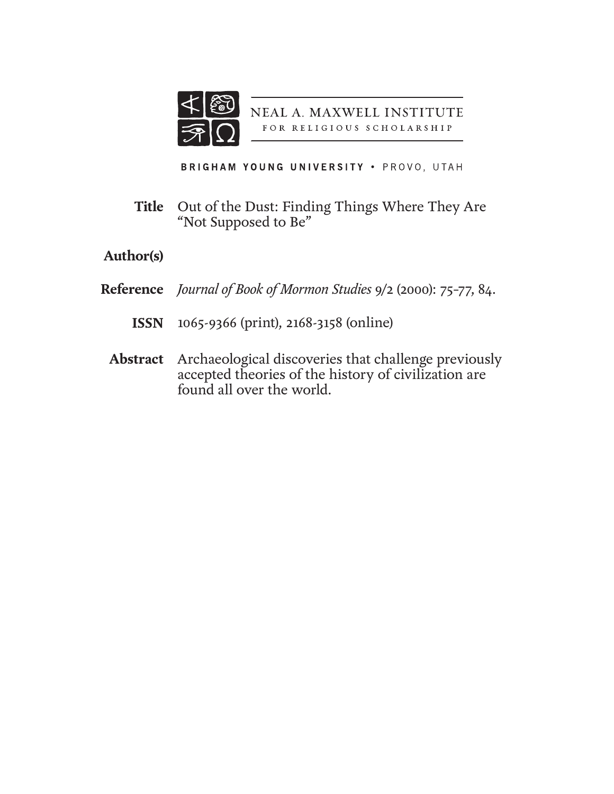

NEAL A. MAXWELL INSTITUTE FOR RELIGIOUS SCHOLARSHIP

BRIGHAM YOUNG UNIVERSITY . PROVO, UTAH

Out of the Dust: Finding Things Where They Are "Not Supposed to Be" **Title**

## **Author(s)**

- *Journal of Book of Mormon Studies* 9/2 (2000): 75–77, 84. **Reference**
	- 1065-9366 (print), 2168-3158 (online) **ISSN**
	- Archaeological discoveries that challenge previously accepted theories of the history of civilization are found all over the world. **Abstract**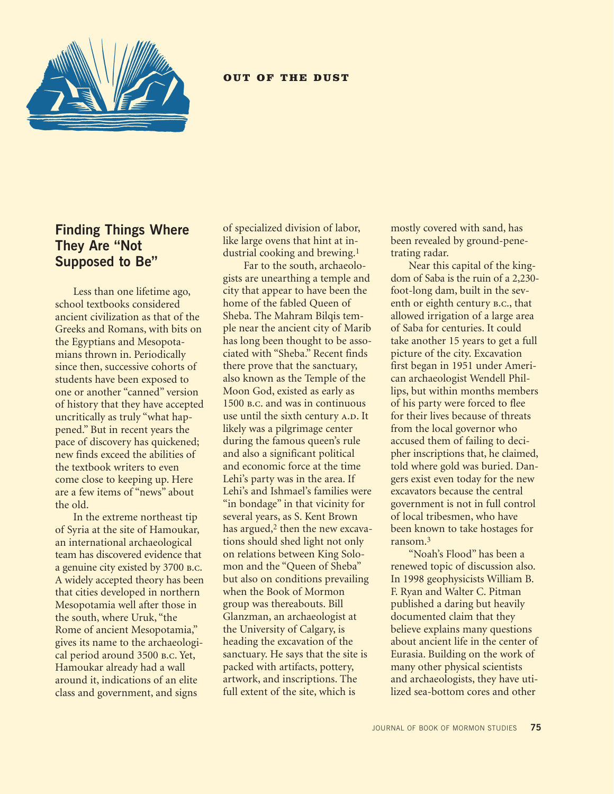

#### OUT OF THE DUST

## **Finding Things Where They Are "Not Supposed to Be"**

Less than one lifetime ago, school textbooks considered ancient civilization as that of the Greeks and Romans, with bits on the Egyptians and Mesopotamians thrown in. Periodically since then, successive cohorts of students have been exposed to one or another "canned" version of history that they have accepted uncritically as truly "what happened." But in recent years the pace of discovery has quickened; new finds exceed the abilities of the textbook writers to even come close to keeping up. Here are a few items of "news" about the old.

In the extreme northeast tip of Syria at the site of Hamoukar, an international archaeological team has discovered evidence that a genuine city existed by 3700 b.c. A widely accepted theory has been that cities developed in northern Mesopotamia well after those in the south, where Uruk, "the Rome of ancient Mesopotamia," gives its name to the archaeological period around 3500 b.c. Yet, Hamoukar already had a wall around it, indications of an elite class and government, and signs

of specialized division of labor, like large ovens that hint at industrial cooking and brewing.1

 Far to the south, archaeologists are unearthing a temple and city that appear to have been the home of the fabled Queen of Sheba. The Mahram Bilqis temple near the ancient city of Marib has long been thought to be associated with "Sheba." Recent finds there prove that the sanctuary, also known as the Temple of the Moon God, existed as early as 1500 b.c. and was in continuous use until the sixth century A.D. It likely was a pilgrimage center during the famous queen's rule and also a significant political and economic force at the time Lehi's party was in the area. If Lehi's and Ishmael's families were "in bondage" in that vicinity for several years, as S. Kent Brown has argued,<sup>2</sup> then the new excavations should shed light not only on relations between King Solomon and the "Queen of Sheba" but also on conditions prevailing when the Book of Mormon group was thereabouts. Bill Glanzman, an archaeologist at the University of Calgary, is heading the excavation of the sanctuary. He says that the site is packed with artifacts, pottery, artwork, and inscriptions. The full extent of the site, which is

mostly covered with sand, has been revealed by ground-penetrating radar.

Near this capital of the kingdom of Saba is the ruin of a 2,230 foot-long dam, built in the seventh or eighth century **B.C.**, that allowed irrigation of a large area of Saba for centuries. It could take another 15 years to get a full picture of the city. Excavation first began in 1951 under American archaeologist Wendell Phillips, but within months members of his party were forced to flee for their lives because of threats from the local governor who accused them of failing to decipher inscriptions that, he claimed, told where gold was buried. Dangers exist even today for the new excavators because the central government is not in full control of local tribesmen, who have been known to take hostages for ransom.3

"Noah's Flood" has been a renewed topic of discussion also. In 1998 geophysicists William B. F. Ryan and Walter C. Pitman published a daring but heavily documented claim that they believe explains many questions about ancient life in the center of Eurasia. Building on the work of many other physical scientists and archaeologists, they have utilized sea-bottom cores and other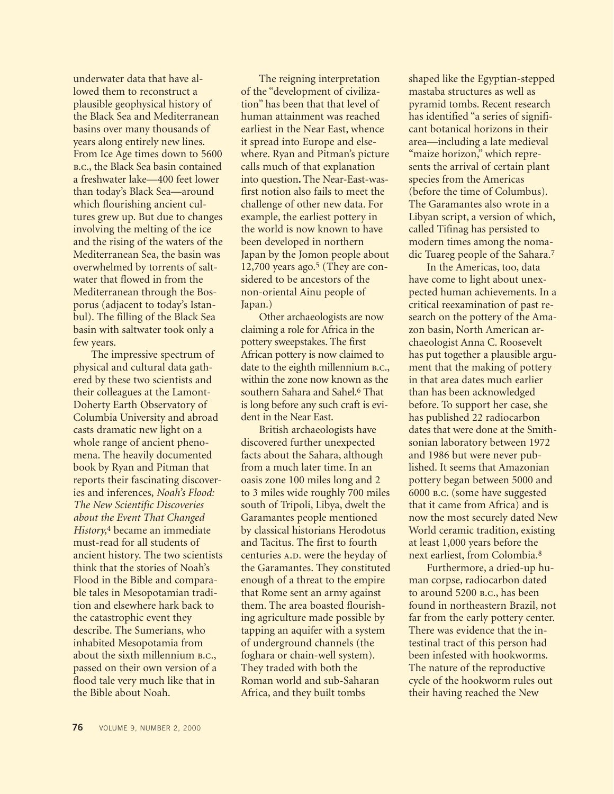underwater data that have allowed them to reconstruct a plausible geophysical history of the Black Sea and Mediterranean basins over many thousands of years along entirely new lines. From Ice Age times down to 5600 b.c., the Black Sea basin contained a freshwater lake—400 feet lower than today's Black Sea—around which flourishing ancient cultures grew up. But due to changes involving the melting of the ice and the rising of the waters of the Mediterranean Sea, the basin was overwhelmed by torrents of saltwater that flowed in from the Mediterranean through the Bosporus (adjacent to today's Istanbul). The filling of the Black Sea basin with saltwater took only a few years.

The impressive spectrum of physical and cultural data gathered by these two scientists and their colleagues at the Lamont-Doherty Earth Observatory of Columbia University and abroad casts dramatic new light on a whole range of ancient phenomena. The heavily documented book by Ryan and Pitman that reports their fascinating discoveries and inferences, *Noah's Flood: The New Scientific Discoveries about the Event That Changed History,*4 became an immediate must-read for all students of ancient history. The two scientists think that the stories of Noah's Flood in the Bible and comparable tales in Mesopotamian tradition and elsewhere hark back to the catastrophic event they describe. The Sumerians, who inhabited Mesopotamia from about the sixth millennium B.C., passed on their own version of a flood tale very much like that in the Bible about Noah.

The reigning interpretation of the "development of civilization" has been that that level of human attainment was reached earliest in the Near East, whence it spread into Europe and elsewhere. Ryan and Pitman's picture calls much of that explanation into question**.** The Near-East-wasfirst notion also fails to meet the challenge of other new data. For example, the earliest pottery in the world is now known to have been developed in northern Japan by the Jomon people about  $12,700$  years ago.<sup>5</sup> (They are considered to be ancestors of the non-oriental Ainu people of Japan.)

Other archaeologists are now claiming a role for Africa in the pottery sweepstakes. The first African pottery is now claimed to date to the eighth millennium **B.C.**, within the zone now known as the southern Sahara and Sahel.<sup>6</sup> That is long before any such craft is evident in the Near East.

British archaeologists have discovered further unexpected facts about the Sahara, although from a much later time. In an oasis zone 100 miles long and 2 to 3 miles wide roughly 700 miles south of Tripoli, Libya, dwelt the Garamantes people mentioned by classical historians Herodotus and Tacitus. The first to fourth centuries A.D. were the heyday of the Garamantes. They constituted enough of a threat to the empire that Rome sent an army against them. The area boasted flourishing agriculture made possible by tapping an aquifer with a system of underground channels (the foghara or chain-well system). They traded with both the Roman world and sub-Saharan Africa, and they built tombs

shaped like the Egyptian-stepped mastaba structures as well as pyramid tombs. Recent research has identified "a series of significant botanical horizons in their area—including a late medieval "maize horizon," which represents the arrival of certain plant species from the Americas (before the time of Columbus). The Garamantes also wrote in a Libyan script, a version of which, called Tifinag has persisted to modern times among the nomadic Tuareg people of the Sahara.7

In the Americas, too, data have come to light about unexpected human achievements. In a critical reexamination of past research on the pottery of the Amazon basin, North American archaeologist Anna C. Roosevelt has put together a plausible argument that the making of pottery in that area dates much earlier than has been acknowledged before. To support her case, she has published 22 radiocarbon dates that were done at the Smithsonian laboratory between 1972 and 1986 but were never published. It seems that Amazonian pottery began between 5000 and 6000 b.c. (some have suggested that it came from Africa) and is now the most securely dated New World ceramic tradition, existing at least 1,000 years before the next earliest, from Colombia.8

Furthermore, a dried-up human corpse, radiocarbon dated to around 5200 b.c., has been found in northeastern Brazil, not far from the early pottery center. There was evidence that the intestinal tract of this person had been infested with hookworms. The nature of the reproductive cycle of the hookworm rules out their having reached the New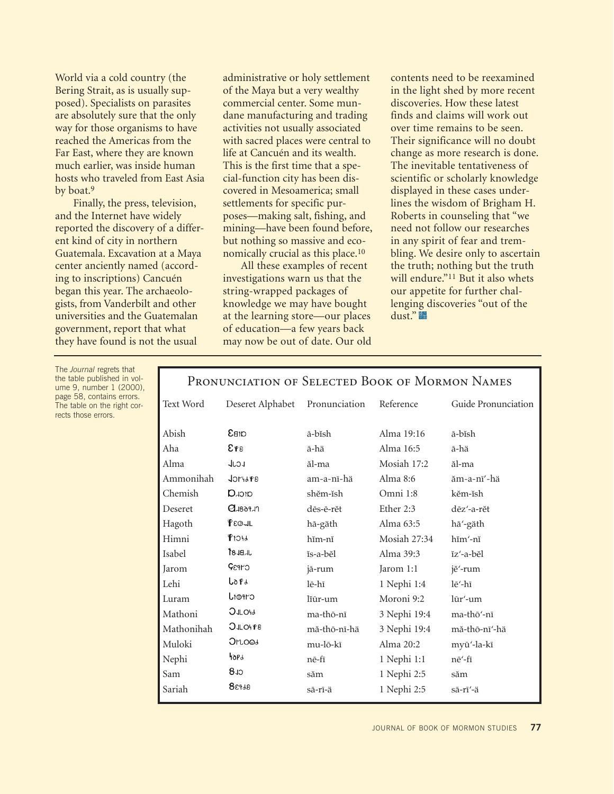World via a cold country (the Bering Strait, as is usually supposed). Specialists on parasites are absolutely sure that the only way for those organisms to have reached the Americas from the Far East, where they are known much earlier, was inside human hosts who traveled from East Asia by boat.9

Finally, the press, television, and the Internet have widely reported the discovery of a different kind of city in northern Guatemala. Excavation at a Maya center anciently named (according to inscriptions) Cancuén began this year. The archaeologists, from Vanderbilt and other universities and the Guatemalan government, report that what they have found is not the usual

The *Journal* regrets that the table published in volume 9, number 1 (2000), page 58, contains errors. The table on the right corrects those errors.

administrative or holy settlement of the Maya but a very wealthy commercial center. Some mundane manufacturing and trading activities not usually associated with sacred places were central to life at Cancuén and its wealth. This is the first time that a special-function city has been discovered in Mesoamerica; small settlements for specific purposes—making salt, fishing, and mining—have been found before, but nothing so massive and economically crucial as this place.10

All these examples of recent investigations warn us that the string-wrapped packages of knowledge we may have bought at the learning store—our places of education—a few years back may now be out of date. Our old contents need to be reexamined in the light shed by more recent discoveries. How these latest finds and claims will work out over time remains to be seen. Their significance will no doubt change as more research is done. The inevitable tentativeness of scientific or scholarly knowledge displayed in these cases underlines the wisdom of Brigham H. Roberts in counseling that "we need not follow our researches in any spirit of fear and trembling. We desire only to ascertain the truth; nothing but the truth will endure."<sup>11</sup> But it also whets our appetite for further challenging discoveries "out of the dust."

| Text Word  | Deseret Alphabet            | Pronunciation | Reference    | Guide Pronunciation |
|------------|-----------------------------|---------------|--------------|---------------------|
| Abish      | <b>GrB3</b>                 | ā-bĭsh        | Alma 19:16   | ā-bĭsh              |
| Aha        | 8 P S                       | ā-hä          | Alma 16:5    | ā-hä                |
| Alma       | <b>LCJL</b>                 | ăl-ma         | Mosiah 17:2  | ăl-ma               |
| Ammonihah  | $J$ $O$ $V$ $H$ $d$ $P$ $B$ | am-a-nī-hä    | Alma $8:6$   | ăm-a-nī'-hä         |
| Chemish    | <b>arc<sub>k</sub>Q</b>     | shĕm-ĭsh      | Omni 1:8     | kěm-ĭsh             |
| Deseret    | $Q$ $18091$                 | dēs-ē-rĕt     | Ether 2:3    | dēz'-a-rĕt          |
| Hagoth     | PEQJL                       | hā-gäth       | Alma 63:5    | hā'-gäth            |
| Himni      | <b>PIOI</b>                 | hĭm-nĭ        | Mosiah 27:34 | hĭm'-nĭ             |
| Isabel     | JBBJL                       | ĭs-a-bĕl      | Alma 39:3    | ĭzʻ-a-bĕl           |
| Jarom      | CYP3Q                       | jā-rum        | Jarom 1:1    | jĕ'-rum             |
| Lehi       | Lo P d                      | lē-hī         | 1 Nephi 1:4  | lē'-hī              |
| Luram      | CIPOLI                      | liūr-um       | Moroni 9:2   | lūr'-um             |
| Mathoni    | <b>OJLOH</b>                | ma-thō-nī     | 3 Nephi 19:4 | ma-thō'-nī          |
| Mathonihah | <b>OJLOHP8</b>              | mă-thō-nī-hä  | 3 Nephi 19:4 | mă-thō-nī'-hä       |
| Muloki     | <b>J</b> rloos              | mu-lō-kī      | Alma $20:2$  | myū'-la-kī          |
| Nephi      | 40Pd                        | nē-fī         | 1 Nephi 1:1  | nē'-fī              |
| Sam        | CL 8                        | săm           | 1 Nephi 2:5  | săm                 |
| Sariah     | 88938                       | sā-rī-ä       | 1 Nephi 2:5  | sā-rī'-ä            |
|            |                             |               |              |                     |

### Pronunciation of Selected Book of Mormon Names